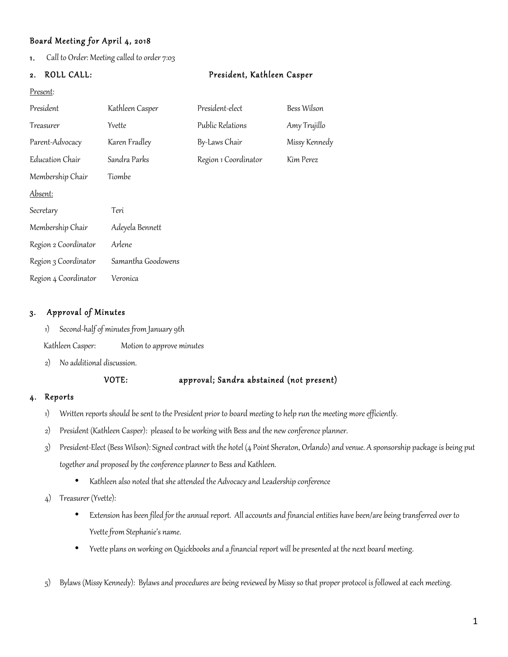# Board Meeting for April 4, 2018

1. Call to Order: Meeting called to order 7:03

| ROLL CALL:<br>2.     |                    | President, Kathleen Casper |               |
|----------------------|--------------------|----------------------------|---------------|
| Present:             |                    |                            |               |
| President            | Kathleen Casper    | President-elect            | Bess Wilson   |
| Treasurer            | Yvette             | Public Relations           | Amy Trujillo  |
| Parent-Advocacy      | Karen Fradley      | By-Laws Chair              | Missy Kennedy |
| Education Chair      | Sandra Parks       | Region 1 Coordinator       | Kim Perez     |
| Membership Chair     | Tiombe             |                            |               |
| Absent:              |                    |                            |               |
| Secretary            | Teri               |                            |               |
| Membership Chair     | Adeyela Bennett    |                            |               |
| Region 2 Coordinator | Arlene             |                            |               |
| Region 3 Coordinator | Samantha Goodowens |                            |               |
| Region 4 Coordinator | Veronica           |                            |               |
|                      |                    |                            |               |

### 3. Approval of Minutes

- 1) Second-half of minutes from January 9th
- Kathleen Casper: Motion to approve minutes
- 2) No additional discussion.

### VOTE: approval; Sandra abstained (not present)

# 4. Reports

- 1) Written reports should be sent to the President prior to board meeting to help run the meeting more efficiently.
- 2) President (Kathleen Casper): pleased to be working with Bess and the new conference planner.
- 3) President-Elect (Bess Wilson): Signed contract with the hotel (4 Point Sheraton, Orlando) and venue. A sponsorship package is being put together and proposed by the conference planner to Bess and Kathleen.
	- Kathleen also noted that she attended the Advocacy and Leadership conference
- 4) Treasurer (Yvette):
	- Extension has been filed for the annual report. All accounts and financial entities have been/are being transferred over to Yvette from Stephanie's name.
	- Yvette plans on working on Quickbooks and a financial report will be presented at the next board meeting.
- 5) Bylaws (Missy Kennedy): Bylaws and procedures are being reviewed by Missy so that proper protocol is followed at each meeting.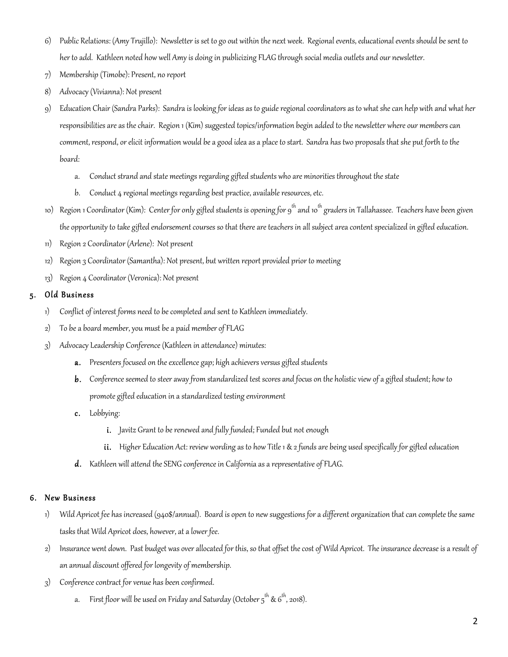- 6) Public Relations: (Amy Trujillo): Newsletter is set to go out within the next week. Regional events, educational events should be sent to her to add. Kathleen noted how well Amy is doing in publicizing FLAG through social media outlets and our newsletter.
- 7) Membership (Timobe): Present, no report
- 8) Advocacy (Vivianna): Not present
- 9) Education Chair (Sandra Parks): Sandra is looking for ideas as to guide regional coordinators as to what she can help with and what her responsibilities are as the chair. Region 1 (Kim) suggested topics/information begin added to the newsletter where our members can comment, respond, or elicit information would be a good idea as a place to start. Sandra has two proposals that she put forth to the board:
	- a. Conduct strand and state meetings regarding gifted students who are minorities throughout the state
	- b. Conduct 4 regional meetings regarding best practice, available resources, etc.
- 10) Region 1 Coordinator (Kim): Center for only gifted students is opening for 9<sup>th</sup> and 10<sup>th</sup> graders in Tallahassee. Teachers have been given the opportunity to take gifted endorsement courses so that there are teachers in all subject area content specialized in gifted education.
- 11) Region 2 Coordinator (Arlene): Not present
- 12) Region 3 Coordinator (Samantha): Not present, but written report provided prior to meeting
- 13) Region 4 Coordinator (Veronica): Not present

### 5. Old Business

- 1) Conflict of interest forms need to be completed and sent to Kathleen immediately.
- 2) To be a board member, you must be a paid member of FLAG
- 3) Advocacy Leadership Conference (Kathleen in attendance) minutes:
	- a. Presenters focused on the excellence gap; high achievers versus gifted students
	- b. Conference seemed to steer away from standardized test scores and focus on the holistic view of a gifted student; how to promote gifted education in a standardized testing environment
	- c. Lobbying:
		- i. Javitz Grant to be renewed and fully funded; Funded but not enough
		- ii. Higher Education Act: review wording as to how Title 1 & 2 funds are being used specifically for gifted education
	- d. Kathleen will attend the SENG conference in California as a representative of FLAG.

#### 6. New Business

- 1) Wild Apricot fee has increased (940\$/annual). Board is open to new suggestions for a different organization that can complete the same tasks that Wild Apricot does, however, at a lower fee.
- 2) Insurance went down. Past budget was over allocated for this, so that offset the cost of Wild Apricot. The insurance decrease is a result of an annual discount offered for longevity of membership.
- 3) Conference contract for venue has been confirmed.
	- a. First floor will be used on Friday and Saturday (October  $5^{th}$  &  $6^{th}$ , 2018).